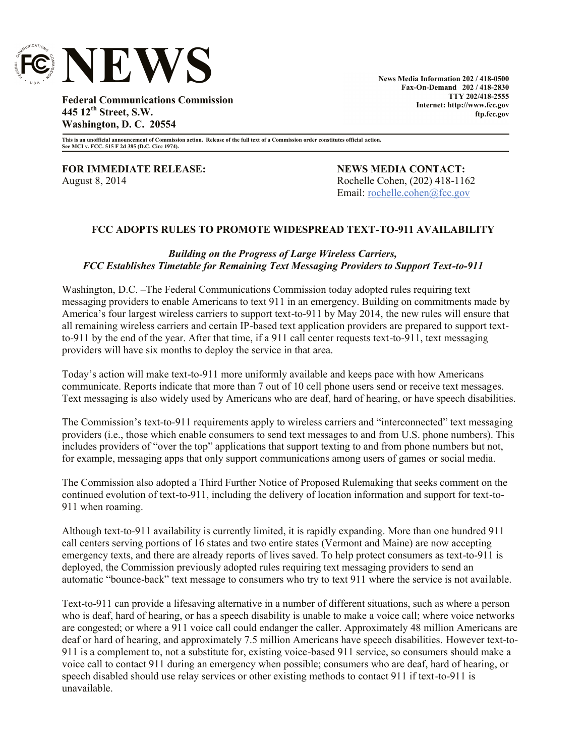

**News Media Information 202 / 418-0500 Fax-On-Demand 202 / 418-2830 TTY 202/418-2555 Internet: http://www.fcc.gov ftp.fcc.gov**

**Federal Communications Commission 445 12th Street, S.W. Washington, D. C. 20554**

**This is an unofficial announcement of Commission action. Release of the full text of a Commission order constitutes official action. See MCI v. FCC. 515 F 2d 385 (D.C. Circ 1974).**

**FOR IMMEDIATE RELEASE: NEWS MEDIA CONTACT:** August 8, 2014 **Rochelle Cohen, (202) 418-1162** 

Email: <u>rochelle.cohen@fcc.gov</u>

## **FCC ADOPTS RULES TO PROMOTE WIDESPREAD TEXT-TO-911 AVAILABILITY**

## *Building on the Progress of Large Wireless Carriers, FCC Establishes Timetable for Remaining Text Messaging Providers to Support Text-to-911*

Washington, D.C. –The Federal Communications Commission today adopted rules requiring text messaging providers to enable Americans to text 911 in an emergency. Building on commitments made by America's four largest wireless carriers to support text-to-911 by May 2014, the new rules will ensure that all remaining wireless carriers and certain IP-based text application providers are prepared to support textto-911 by the end of the year. After that time, if a 911 call center requests text-to-911, text messaging providers will have six months to deploy the service in that area.

Today's action will make text-to-911 more uniformly available and keeps pace with how Americans communicate. Reports indicate that more than 7 out of 10 cell phone users send or receive text messages. Text messaging is also widely used by Americans who are deaf, hard of hearing, or have speech disabilities.

The Commission's text-to-911 requirements apply to wireless carriers and "interconnected" text messaging providers (i.e., those which enable consumers to send text messages to and from U.S. phone numbers). This includes providers of "over the top" applications that support texting to and from phone numbers but not, for example, messaging apps that only support communications among users of games or social media.

The Commission also adopted a Third Further Notice of Proposed Rulemaking that seeks comment on the continued evolution of text-to-911, including the delivery of location information and support for text-to-911 when roaming.

Although text-to-911 availability is currently limited, it is rapidly expanding. More than one hundred 911 call centers serving portions of 16 states and two entire states (Vermont and Maine) are now accepting emergency texts, and there are already reports of lives saved. To help protect consumers as text-to-911 is deployed, the Commission previously adopted rules requiring text messaging providers to send an automatic "bounce-back" text message to consumers who try to text 911 where the service is not available.

Text-to-911 can provide a lifesaving alternative in a number of different situations, such as where a person who is deaf, hard of hearing, or has a speech disability is unable to make a voice call; where voice networks are congested; or where a 911 voice call could endanger the caller. Approximately 48 million Americans are deaf or hard of hearing, and approximately 7.5 million Americans have speech disabilities. However text-to-911 is a complement to, not a substitute for, existing voice-based 911 service, so consumers should make a voice call to contact 911 during an emergency when possible; consumers who are deaf, hard of hearing, or speech disabled should use relay services or other existing methods to contact 911 if text-to-911 is unavailable.